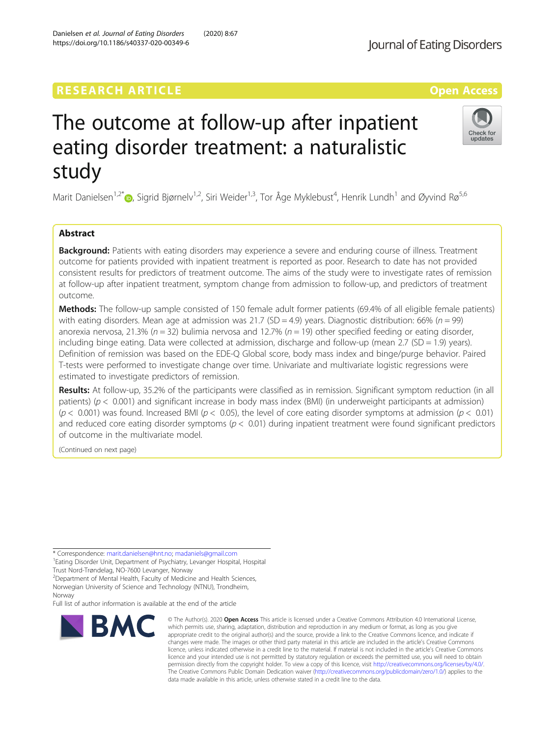## **RESEARCH ARTICLE External Structure Community Community Community Community Community Community Community Community**

# The outcome at follow-up after inpatient eating disorder treatment: a naturalistic study

Marit Danielsen<sup>1,2\*</sup>®, Sigrid Bjørnelv<sup>1,2</sup>, Siri Weider<sup>1,3</sup>, Tor Åge Myklebust<sup>4</sup>, Henrik Lundh<sup>1</sup> and Øyvind Rø<sup>5,6</sup>

## Abstract

**Background:** Patients with eating disorders may experience a severe and enduring course of illness. Treatment outcome for patients provided with inpatient treatment is reported as poor. Research to date has not provided consistent results for predictors of treatment outcome. The aims of the study were to investigate rates of remission at follow-up after inpatient treatment, symptom change from admission to follow-up, and predictors of treatment outcome.

Methods: The follow-up sample consisted of 150 female adult former patients (69.4% of all eligible female patients) with eating disorders. Mean age at admission was 21.7 (SD = 4.9) years. Diagnostic distribution: 66% ( $n = 99$ ) anorexia nervosa, 21.3% ( $n = 32$ ) bulimia nervosa and 12.7% ( $n = 19$ ) other specified feeding or eating disorder, including binge eating. Data were collected at admission, discharge and follow-up (mean  $2.7$  (SD = 1.9) years). Definition of remission was based on the EDE-Q Global score, body mass index and binge/purge behavior. Paired T-tests were performed to investigate change over time. Univariate and multivariate logistic regressions were estimated to investigate predictors of remission.

Results: At follow-up, 35.2% of the participants were classified as in remission. Significant symptom reduction (in all patients) ( $p < 0.001$ ) and significant increase in body mass index (BMI) (in underweight participants at admission) ( $p < 0.001$ ) was found. Increased BMI ( $p < 0.05$ ), the level of core eating disorder symptoms at admission ( $p < 0.01$ ) and reduced core eating disorder symptoms ( $p < 0.01$ ) during inpatient treatment were found significant predictors of outcome in the multivariate model.

(Continued on next page)

\* Correspondence: [marit.danielsen@hnt.no;](mailto:marit.danielsen@hnt.no) [madaniels@gmail.com](mailto:madaniels@gmail.com) <sup>1</sup>

<sup>1</sup> Eating Disorder Unit, Department of Psychiatry, Levanger Hospital, Hospital Trust Nord-Trøndelag, NO-7600 Levanger, Norway

<sup>2</sup> Department of Mental Health, Faculty of Medicine and Health Sciences, Norwegian University of Science and Technology (NTNU), Trondheim,

Norway

BMC

Full list of author information is available at the end of the article

#### © The Author(s), 2020 **Open Access** This article is licensed under a Creative Commons Attribution 4.0 International License, which permits use, sharing, adaptation, distribution and reproduction in any medium or format, as long as you give appropriate credit to the original author(s) and the source, provide a link to the Creative Commons licence, and indicate if changes were made. The images or other third party material in this article are included in the article's Creative Commons licence, unless indicated otherwise in a credit line to the material. If material is not included in the article's Creative Commons licence and your intended use is not permitted by statutory regulation or exceeds the permitted use, you will need to obtain permission directly from the copyright holder. To view a copy of this licence, visit [http://creativecommons.org/licenses/by/4.0/.](http://creativecommons.org/licenses/by/4.0/) The Creative Commons Public Domain Dedication waiver [\(http://creativecommons.org/publicdomain/zero/1.0/](http://creativecommons.org/publicdomain/zero/1.0/)) applies to the data made available in this article, unless otherwise stated in a credit line to the data.

Danielsen et al. Journal of Eating Disorders (2020) 8:67 https://doi.org/10.1186/s40337-020-00349-6



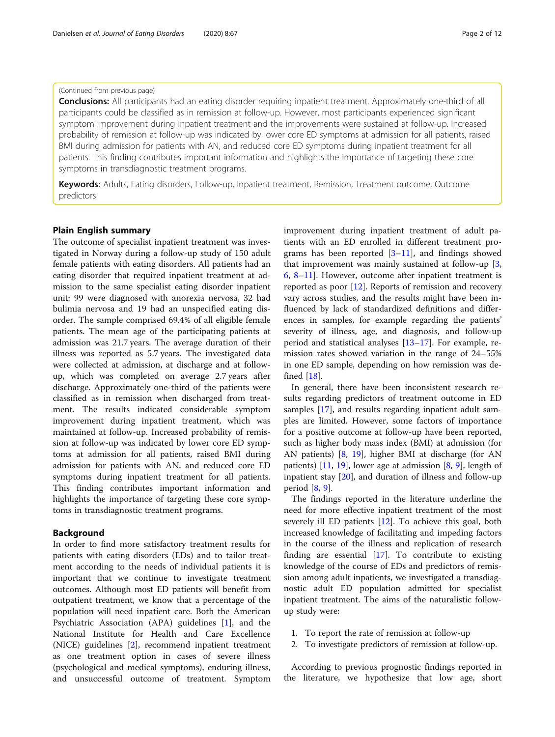## (Continued from previous page)

Conclusions: All participants had an eating disorder requiring inpatient treatment. Approximately one-third of all participants could be classified as in remission at follow-up. However, most participants experienced significant symptom improvement during inpatient treatment and the improvements were sustained at follow-up. Increased probability of remission at follow-up was indicated by lower core ED symptoms at admission for all patients, raised BMI during admission for patients with AN, and reduced core ED symptoms during inpatient treatment for all patients. This finding contributes important information and highlights the importance of targeting these core symptoms in transdiagnostic treatment programs.

Keywords: Adults, Eating disorders, Follow-up, Inpatient treatment, Remission, Treatment outcome, Outcome predictors

## Plain English summary

The outcome of specialist inpatient treatment was investigated in Norway during a follow-up study of 150 adult female patients with eating disorders. All patients had an eating disorder that required inpatient treatment at admission to the same specialist eating disorder inpatient unit: 99 were diagnosed with anorexia nervosa, 32 had bulimia nervosa and 19 had an unspecified eating disorder. The sample comprised 69.4% of all eligible female patients. The mean age of the participating patients at admission was 21.7 years. The average duration of their illness was reported as 5.7 years. The investigated data were collected at admission, at discharge and at followup, which was completed on average 2.7 years after discharge. Approximately one-third of the patients were classified as in remission when discharged from treatment. The results indicated considerable symptom improvement during inpatient treatment, which was maintained at follow-up. Increased probability of remission at follow-up was indicated by lower core ED symptoms at admission for all patients, raised BMI during admission for patients with AN, and reduced core ED symptoms during inpatient treatment for all patients. This finding contributes important information and highlights the importance of targeting these core symptoms in transdiagnostic treatment programs.

## Background

In order to find more satisfactory treatment results for patients with eating disorders (EDs) and to tailor treatment according to the needs of individual patients it is important that we continue to investigate treatment outcomes. Although most ED patients will benefit from outpatient treatment, we know that a percentage of the population will need inpatient care. Both the American Psychiatric Association (APA) guidelines [[1\]](#page-10-0), and the National Institute for Health and Care Excellence (NICE) guidelines [\[2\]](#page-10-0), recommend inpatient treatment as one treatment option in cases of severe illness (psychological and medical symptoms), enduring illness, and unsuccessful outcome of treatment. Symptom improvement during inpatient treatment of adult patients with an ED enrolled in different treatment programs has been reported  $[3-11]$  $[3-11]$  $[3-11]$  $[3-11]$  $[3-11]$ , and findings showed that improvement was mainly sustained at follow-up [\[3](#page-10-0), [6,](#page-10-0) [8](#page-10-0)–[11](#page-10-0)]. However, outcome after inpatient treatment is reported as poor [\[12](#page-10-0)]. Reports of remission and recovery vary across studies, and the results might have been influenced by lack of standardized definitions and differences in samples, for example regarding the patients' severity of illness, age, and diagnosis, and follow-up period and statistical analyses [[13](#page-10-0)–[17\]](#page-10-0). For example, remission rates showed variation in the range of 24–55% in one ED sample, depending on how remission was defined [\[18](#page-10-0)].

In general, there have been inconsistent research results regarding predictors of treatment outcome in ED samples [[17\]](#page-10-0), and results regarding inpatient adult samples are limited. However, some factors of importance for a positive outcome at follow-up have been reported, such as higher body mass index (BMI) at admission (for AN patients) [\[8](#page-10-0), [19\]](#page-10-0), higher BMI at discharge (for AN patients)  $[11, 19]$  $[11, 19]$  $[11, 19]$ , lower age at admission  $[8, 9]$  $[8, 9]$  $[8, 9]$  $[8, 9]$ , length of inpatient stay [[20](#page-10-0)], and duration of illness and follow-up period [\[8,](#page-10-0) [9\]](#page-10-0).

The findings reported in the literature underline the need for more effective inpatient treatment of the most severely ill ED patients [[12\]](#page-10-0). To achieve this goal, both increased knowledge of facilitating and impeding factors in the course of the illness and replication of research finding are essential [\[17](#page-10-0)]. To contribute to existing knowledge of the course of EDs and predictors of remission among adult inpatients, we investigated a transdiagnostic adult ED population admitted for specialist inpatient treatment. The aims of the naturalistic followup study were:

- 1. To report the rate of remission at follow-up
- 2. To investigate predictors of remission at follow-up.

According to previous prognostic findings reported in the literature, we hypothesize that low age, short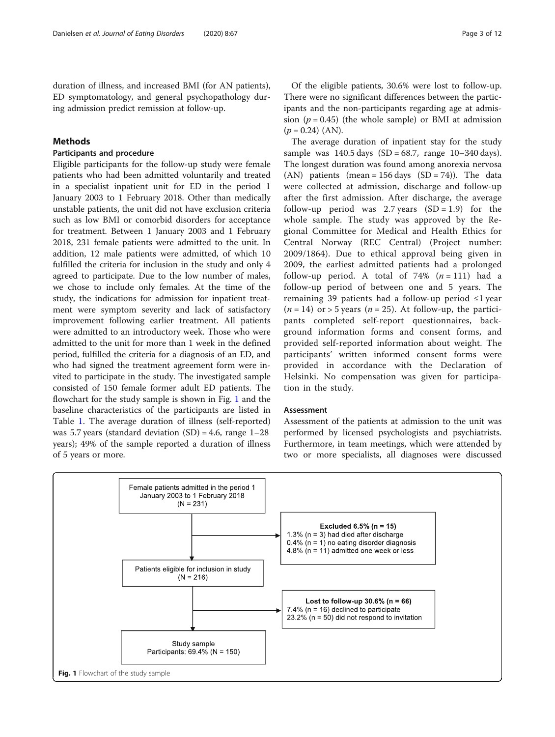## Methods

## Participants and procedure

Eligible participants for the follow-up study were female patients who had been admitted voluntarily and treated in a specialist inpatient unit for ED in the period 1 January 2003 to 1 February 2018. Other than medically unstable patients, the unit did not have exclusion criteria such as low BMI or comorbid disorders for acceptance for treatment. Between 1 January 2003 and 1 February 2018, 231 female patients were admitted to the unit. In addition, 12 male patients were admitted, of which 10 fulfilled the criteria for inclusion in the study and only 4 agreed to participate. Due to the low number of males, we chose to include only females. At the time of the study, the indications for admission for inpatient treatment were symptom severity and lack of satisfactory improvement following earlier treatment. All patients were admitted to an introductory week. Those who were admitted to the unit for more than 1 week in the defined period, fulfilled the criteria for a diagnosis of an ED, and who had signed the treatment agreement form were invited to participate in the study. The investigated sample consisted of 150 female former adult ED patients. The flowchart for the study sample is shown in Fig. 1 and the baseline characteristics of the participants are listed in Table [1](#page-3-0). The average duration of illness (self-reported) was 5.7 years (standard deviation  $(SD) = 4.6$ , range  $1-28$ years); 49% of the sample reported a duration of illness of 5 years or more.

Of the eligible patients, 30.6% were lost to follow-up. There were no significant differences between the participants and the non-participants regarding age at admission ( $p = 0.45$ ) (the whole sample) or BMI at admission  $(p = 0.24)$  (AN).

The average duration of inpatient stay for the study sample was  $140.5$  days  $(SD = 68.7, \text{ range } 10-340 \text{ days}).$ The longest duration was found among anorexia nervosa (AN) patients (mean =  $156 \text{ days}$  (SD = 74)). The data were collected at admission, discharge and follow-up after the first admission. After discharge, the average follow-up period was 2.7 years  $(SD = 1.9)$  for the whole sample. The study was approved by the Regional Committee for Medical and Health Ethics for Central Norway (REC Central) (Project number: 2009/1864). Due to ethical approval being given in 2009, the earliest admitted patients had a prolonged follow-up period. A total of 74%  $(n = 111)$  had a follow-up period of between one and 5 years. The remaining 39 patients had a follow-up period ≤1 year  $(n = 14)$  or > 5 years  $(n = 25)$ . At follow-up, the participants completed self-report questionnaires, background information forms and consent forms, and provided self-reported information about weight. The participants' written informed consent forms were provided in accordance with the Declaration of Helsinki. No compensation was given for participation in the study.

#### **Assessment**

Assessment of the patients at admission to the unit was performed by licensed psychologists and psychiatrists. Furthermore, in team meetings, which were attended by two or more specialists, all diagnoses were discussed

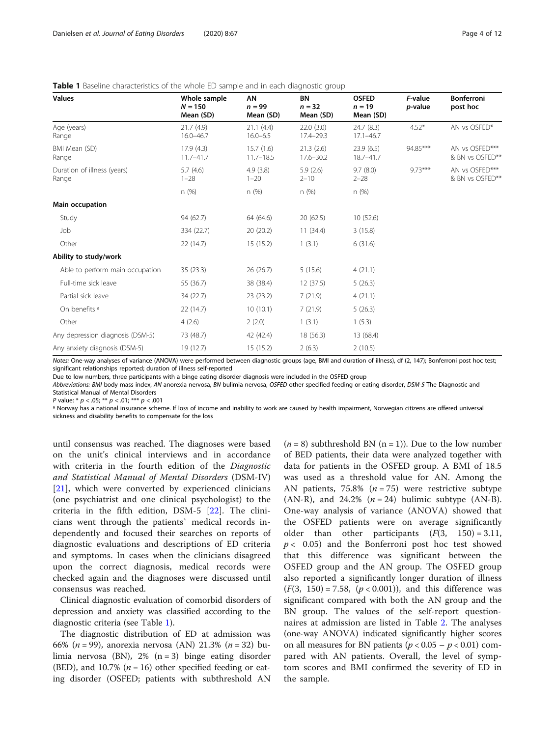| <b>Values</b>                        | Whole sample<br>$N = 150$<br>Mean (SD) | AN<br>$n = 99$<br>Mean (SD) | BN<br>$n = 32$<br>Mean (SD) | <b>OSFED</b><br>$n = 19$<br>Mean (SD) | F-value<br>p-value | <b>Bonferroni</b><br>post hoc     |
|--------------------------------------|----------------------------------------|-----------------------------|-----------------------------|---------------------------------------|--------------------|-----------------------------------|
| Age (years)<br>Range                 | 21.7(4.9)<br>$16.0 - 46.7$             | 21.1(4.4)<br>$16.0 - 6.5$   | 22.0(3.0)<br>$17.4 - 29.3$  | 24.7(8.3)<br>$17.1 - 46.7$            | $4.52*$            | AN vs OSFED*                      |
| BMI Mean (SD)<br>Range               | 17.9(4.3)<br>$11.7 - 41.7$             | 15.7(1.6)<br>$11.7 - 18.5$  | 21.3(2.6)<br>$17.6 - 30.2$  | 23.9(6.5)<br>18.7-41.7                | 94.85***           | AN vs OSFED***<br>& BN vs OSFED** |
| Duration of illness (years)<br>Range | 5.7(4.6)<br>$1 - 28$                   | 4.9(3.8)<br>$1 - 20$        | 5.9(2.6)<br>$2 - 10$        | 9.7(8.0)<br>$2 - 28$                  | $9.73***$          | AN vs OSFED***<br>& BN vs OSFED** |
|                                      | n(%)                                   | n(%)                        | n(%)                        | n(%)                                  |                    |                                   |
| Main occupation                      |                                        |                             |                             |                                       |                    |                                   |
| Study                                | 94 (62.7)                              | 64 (64.6)                   | 20(62.5)                    | 10 (52.6)                             |                    |                                   |
| Job                                  | 334 (22.7)                             | 20(20.2)                    | 11(34.4)                    | 3(15.8)                               |                    |                                   |
| Other                                | 22(14.7)                               | 15(15.2)                    | 1(3.1)                      | 6(31.6)                               |                    |                                   |
| Ability to study/work                |                                        |                             |                             |                                       |                    |                                   |
| Able to perform main occupation      | 35(23.3)                               | 26(26.7)                    | 5(15.6)                     | 4(21.1)                               |                    |                                   |
| Full-time sick leave                 | 55 (36.7)                              | 38 (38.4)                   | 12 (37.5)                   | 5(26.3)                               |                    |                                   |
| Partial sick leave                   | 34 (22.7)                              | 23(23.2)                    | 7(21.9)                     | 4(21.1)                               |                    |                                   |
| On benefits <sup>a</sup>             | 22(14.7)                               | 10(10.1)                    | 7(21.9)                     | 5(26.3)                               |                    |                                   |
| Other                                | 4(2.6)                                 | 2(2.0)                      | 1(3.1)                      | 1(5.3)                                |                    |                                   |
| Any depression diagnosis (DSM-5)     | 73 (48.7)                              | 42 (42.4)                   | 18 (56.3)                   | 13 (68.4)                             |                    |                                   |
| Any anxiety diagnosis (DSM-5)        | 19 (12.7)                              | 15 (15.2)                   | 2(6.3)                      | 2(10.5)                               |                    |                                   |

<span id="page-3-0"></span>Table 1 Baseline characteristics of the whole ED sample and in each diagnostic group

Notes: One-way analyses of variance (ANOVA) were performed between diagnostic groups (age, BMI and duration of illness), df (2, 147); Bonferroni post hoc test; significant relationships reported; duration of illness self-reported

Due to low numbers, three participants with a binge eating disorder diagnosis were included in the OSFED group

Abbreviations: BMI body mass index, AN anorexia nervosa, BN bulimia nervosa, OSFED other specified feeding or eating disorder, DSM-5 The Diagnostic and Statistical Manual of Mental Disorders

P value: \*  $p < .05$ ; \*\*  $p < .01$ ; \*\*\*  $p < .001$ 

a Norway has a national insurance scheme. If loss of income and inability to work are caused by health impairment, Norwegian citizens are offered universal sickness and disability benefits to compensate for the loss

until consensus was reached. The diagnoses were based on the unit's clinical interviews and in accordance with criteria in the fourth edition of the Diagnostic and Statistical Manual of Mental Disorders (DSM-IV) [[21\]](#page-10-0), which were converted by experienced clinicians (one psychiatrist and one clinical psychologist) to the criteria in the fifth edition, DSM-5 [\[22](#page-10-0)]. The clinicians went through the patients` medical records independently and focused their searches on reports of diagnostic evaluations and descriptions of ED criteria and symptoms. In cases when the clinicians disagreed upon the correct diagnosis, medical records were checked again and the diagnoses were discussed until consensus was reached.

Clinical diagnostic evaluation of comorbid disorders of depression and anxiety was classified according to the diagnostic criteria (see Table 1).

The diagnostic distribution of ED at admission was 66% (*n* = 99), anorexia nervosa (AN) 21.3% (*n* = 32) bulimia nervosa (BN), 2% (n = 3) binge eating disorder (BED), and 10.7% ( $n = 16$ ) other specified feeding or eating disorder (OSFED; patients with subthreshold AN

 $(n = 8)$  subthreshold BN  $(n = 1)$ ). Due to the low number of BED patients, their data were analyzed together with data for patients in the OSFED group. A BMI of 18.5 was used as a threshold value for AN. Among the AN patients, 75.8%  $(n = 75)$  were restrictive subtype (AN-R), and 24.2%  $(n = 24)$  bulimic subtype (AN-B). One-way analysis of variance (ANOVA) showed that the OSFED patients were on average significantly older than other participants  $(F(3, 150) = 3.11,$  $p < 0.05$ ) and the Bonferroni post hoc test showed that this difference was significant between the OSFED group and the AN group. The OSFED group also reported a significantly longer duration of illness  $(F(3, 150) = 7.58, (p < 0.001))$ , and this difference was significant compared with both the AN group and the BN group. The values of the self-report questionnaires at admission are listed in Table [2](#page-4-0). The analyses (one-way ANOVA) indicated significantly higher scores on all measures for BN patients ( $p < 0.05 - p < 0.01$ ) compared with AN patients. Overall, the level of symptom scores and BMI confirmed the severity of ED in the sample.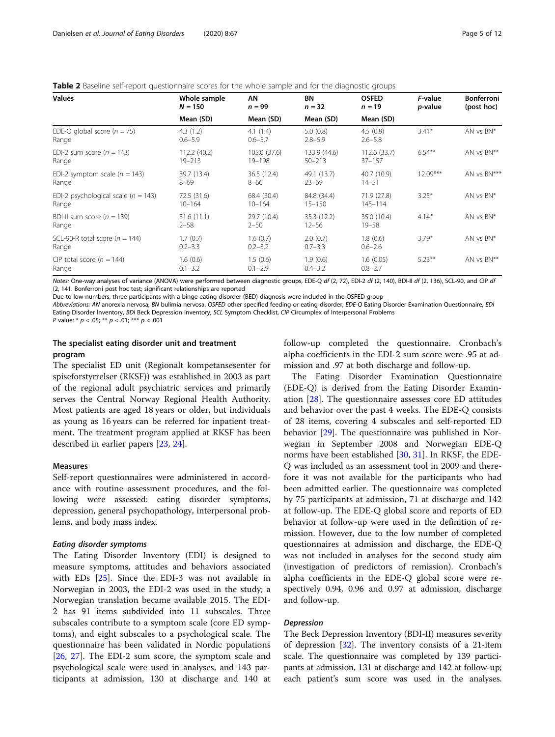<span id="page-4-0"></span>

| <b>Table 2</b> Baseline self-report questionnaire scores for the whole sample and for the diagnostic groups |  |
|-------------------------------------------------------------------------------------------------------------|--|
|                                                                                                             |  |

| <b>Values</b>                                    | Whole sample<br>$N = 150$  | AN<br>$n = 99$            | <b>BN</b><br>$n = 32$      | <b>OSFED</b><br>$n = 19$   | F-value<br>p-value | <b>Bonferroni</b><br>(post hoc) |
|--------------------------------------------------|----------------------------|---------------------------|----------------------------|----------------------------|--------------------|---------------------------------|
|                                                  | Mean (SD)                  | Mean (SD)                 | Mean (SD)                  | Mean (SD)                  |                    |                                 |
| EDE-Q global score ( $n = 75$ )<br>Range         | 4.3(1.2)<br>$0.6 - 5.9$    | 4.1(1.4)<br>$0.6 - 5.7$   | 5.0(0.8)<br>$2.8 - 5.9$    | 4.5(0.9)<br>$2.6 - 5.8$    | $3.41*$            | AN vs BN*                       |
| EDI-2 sum score ( $n = 143$ )<br>Range           | 112.2 (40.2)<br>$19 - 213$ | 105.0 (37.6)<br>19-198    | 133.9 (44.6)<br>$50 - 213$ | 112.6(33.7)<br>$37 - 157$  | $6.54***$          | AN vs BN**                      |
| EDI-2 symptom scale ( $n = 143$ )<br>Range       | 39.7 (13.4)<br>$8 - 69$    | 36.5 (12.4)<br>$8 - 66$   | 49.1 (13.7)<br>$23 - 69$   | 40.7 (10.9)<br>$14 - 51$   | $12.09***$         | AN vs BN***                     |
| EDI-2 psychological scale ( $n = 143$ )<br>Range | 72.5 (31.6)<br>$10 - 164$  | 68.4 (30.4)<br>$10 - 164$ | 84.8 (34.4)<br>$15 - 150$  | 71.9 (27.8)<br>$145 - 114$ | $3.25*$            | AN vs BN*                       |
| BDI-II sum score ( $n = 139$ )<br>Range          | 31.6(11.1)<br>$2 - 58$     | 29.7 (10.4)<br>$2 - 50$   | 35.3 (12.2)<br>$12 - 56$   | 35.0 (10.4)<br>$19 - 58$   | $4.14*$            | AN vs BN*                       |
| SCL-90-R total score ( $n = 144$ )<br>Range      | 1.7(0.7)<br>$0.2 - 3.3$    | 1.6(0.7)<br>$0.2 - 3.2$   | 2.0(0.7)<br>$0.7 - 3.3$    | 1.8(0.6)<br>$0.6 - 2.6$    | $3.79*$            | AN vs BN*                       |
| CIP total score ( $n = 144$ )<br>Range           | 1.6(0.6)<br>$0.1 - 3.2$    | 1.5(0.6)<br>$0.1 - 2.9$   | 1.9(0.6)<br>$0.4 - 3.2$    | 1.6(0.05)<br>$0.8 - 2.7$   | $5.23***$          | AN vs BN**                      |

Notes: One-way analyses of variance (ANOVA) were performed between diagnostic groups, EDE-Q df (2, 72), EDI-2 df (2, 140), BDI-II df (2, 136), SCL-90, and CIP df (2, 141. Bonferroni post hoc test; significant relationships are reported

Due to low numbers, three participants with a binge eating disorder (BED) diagnosis were included in the OSFED group

Abbreviations: AN anorexia nervosa, BN bulimia nervosa, OSFED other specified feeding or eating disorder, EDE-Q Eating Disorder Examination Questionnaire, EDI Eating Disorder Inventory, BDI Beck Depression Inventory, SCL Symptom Checklist, CIP Circumplex of Interpersonal Problems

P value: \*  $p < .05$ ; \*\*  $p < .01$ ; \*\*\*  $p < .001$ 

## The specialist eating disorder unit and treatment program

The specialist ED unit (Regionalt kompetansesenter for spiseforstyrrelser (RKSF)) was established in 2003 as part of the regional adult psychiatric services and primarily serves the Central Norway Regional Health Authority. Most patients are aged 18 years or older, but individuals as young as 16 years can be referred for inpatient treatment. The treatment program applied at RKSF has been described in earlier papers [[23,](#page-10-0) [24](#page-10-0)].

## Measures

Self-report questionnaires were administered in accordance with routine assessment procedures, and the following were assessed: eating disorder symptoms, depression, general psychopathology, interpersonal problems, and body mass index.

#### Eating disorder symptoms

The Eating Disorder Inventory (EDI) is designed to measure symptoms, attitudes and behaviors associated with EDs [\[25](#page-10-0)]. Since the EDI-3 was not available in Norwegian in 2003, the EDI-2 was used in the study; a Norwegian translation became available 2015. The EDI-2 has 91 items subdivided into 11 subscales. Three subscales contribute to a symptom scale (core ED symptoms), and eight subscales to a psychological scale. The questionnaire has been validated in Nordic populations [[26,](#page-10-0) [27\]](#page-10-0). The EDI-2 sum score, the symptom scale and psychological scale were used in analyses, and 143 participants at admission, 130 at discharge and 140 at follow-up completed the questionnaire. Cronbach's alpha coefficients in the EDI-2 sum score were .95 at admission and .97 at both discharge and follow-up.

The Eating Disorder Examination Questionnaire (EDE-Q) is derived from the Eating Disorder Examination [\[28](#page-10-0)]. The questionnaire assesses core ED attitudes and behavior over the past 4 weeks. The EDE-Q consists of 28 items, covering 4 subscales and self-reported ED behavior [[29\]](#page-10-0). The questionnaire was published in Norwegian in September 2008 and Norwegian EDE-Q norms have been established [\[30](#page-11-0), [31](#page-11-0)]. In RKSF, the EDE-Q was included as an assessment tool in 2009 and therefore it was not available for the participants who had been admitted earlier. The questionnaire was completed by 75 participants at admission, 71 at discharge and 142 at follow-up. The EDE-Q global score and reports of ED behavior at follow-up were used in the definition of remission. However, due to the low number of completed questionnaires at admission and discharge, the EDE-Q was not included in analyses for the second study aim (investigation of predictors of remission). Cronbach's alpha coefficients in the EDE-Q global score were respectively 0.94, 0.96 and 0.97 at admission, discharge and follow-up.

## Depression

The Beck Depression Inventory (BDI-II) measures severity of depression [[32](#page-11-0)]. The inventory consists of a 21-item scale. The questionnaire was completed by 139 participants at admission, 131 at discharge and 142 at follow-up; each patient's sum score was used in the analyses.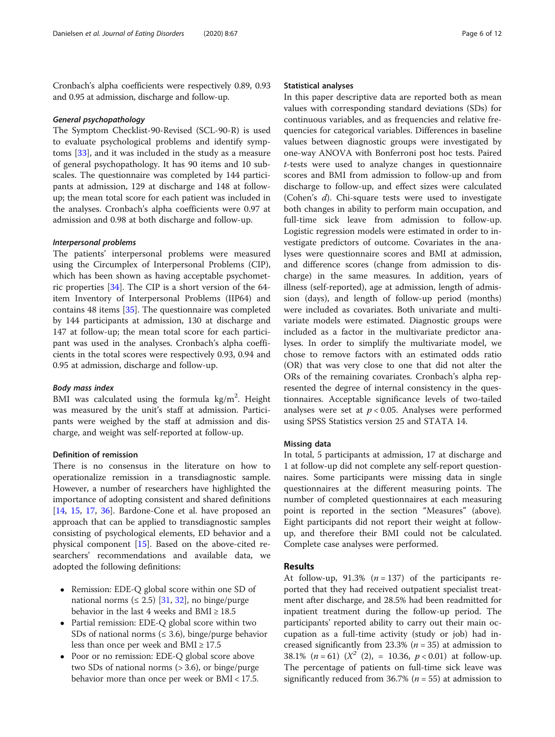Cronbach's alpha coefficients were respectively 0.89, 0.93 and 0.95 at admission, discharge and follow-up.

#### General psychopathology

The Symptom Checklist-90-Revised (SCL-90-R) is used to evaluate psychological problems and identify symptoms [\[33](#page-11-0)], and it was included in the study as a measure of general psychopathology. It has 90 items and 10 subscales. The questionnaire was completed by 144 participants at admission, 129 at discharge and 148 at followup; the mean total score for each patient was included in the analyses. Cronbach's alpha coefficients were 0.97 at admission and 0.98 at both discharge and follow-up.

## Interpersonal problems

The patients' interpersonal problems were measured using the Circumplex of Interpersonal Problems (CIP), which has been shown as having acceptable psychometric properties [\[34](#page-11-0)]. The CIP is a short version of the 64 item Inventory of Interpersonal Problems (IIP64) and contains 48 items [[35](#page-11-0)]. The questionnaire was completed by 144 participants at admission, 130 at discharge and 147 at follow-up; the mean total score for each participant was used in the analyses. Cronbach's alpha coefficients in the total scores were respectively 0.93, 0.94 and 0.95 at admission, discharge and follow-up.

#### Body mass index

BMI was calculated using the formula  $\text{kg/m}^2$ . Height was measured by the unit's staff at admission. Participants were weighed by the staff at admission and discharge, and weight was self-reported at follow-up.

## Definition of remission

There is no consensus in the literature on how to operationalize remission in a transdiagnostic sample. However, a number of researchers have highlighted the importance of adopting consistent and shared definitions [[14,](#page-10-0) [15,](#page-10-0) [17,](#page-10-0) [36](#page-11-0)]. Bardone-Cone et al. have proposed an approach that can be applied to transdiagnostic samples consisting of psychological elements, ED behavior and a physical component [[15\]](#page-10-0). Based on the above-cited researchers' recommendations and available data, we adopted the following definitions:

- Remission: EDE-Q global score within one SD of national norms ( $\leq$  2.5) [\[31,](#page-11-0) [32\]](#page-11-0), no binge/purge behavior in the last 4 weeks and BMI  $\geq 18.5$
- Partial remission: EDE-Q global score within two SDs of national norms ( $\leq$  3.6), binge/purge behavior less than once per week and  $BMI \geq 17.5$
- Poor or no remission: EDE-Q global score above two SDs of national norms (> 3.6), or binge/purge behavior more than once per week or BMI < 17.5.

## Statistical analyses

In this paper descriptive data are reported both as mean values with corresponding standard deviations (SDs) for continuous variables, and as frequencies and relative frequencies for categorical variables. Differences in baseline values between diagnostic groups were investigated by one-way ANOVA with Bonferroni post hoc tests. Paired t-tests were used to analyze changes in questionnaire scores and BMI from admission to follow-up and from discharge to follow-up, and effect sizes were calculated (Cohen's d). Chi-square tests were used to investigate both changes in ability to perform main occupation, and full-time sick leave from admission to follow-up. Logistic regression models were estimated in order to investigate predictors of outcome. Covariates in the analyses were questionnaire scores and BMI at admission, and difference scores (change from admission to discharge) in the same measures. In addition, years of illness (self-reported), age at admission, length of admission (days), and length of follow-up period (months) were included as covariates. Both univariate and multivariate models were estimated. Diagnostic groups were included as a factor in the multivariate predictor analyses. In order to simplify the multivariate model, we chose to remove factors with an estimated odds ratio (OR) that was very close to one that did not alter the ORs of the remaining covariates. Cronbach's alpha represented the degree of internal consistency in the questionnaires. Acceptable significance levels of two-tailed analyses were set at  $p < 0.05$ . Analyses were performed using SPSS Statistics version 25 and STATA 14.

## Missing data

In total, 5 participants at admission, 17 at discharge and 1 at follow-up did not complete any self-report questionnaires. Some participants were missing data in single questionnaires at the different measuring points. The number of completed questionnaires at each measuring point is reported in the section "Measures" (above). Eight participants did not report their weight at followup, and therefore their BMI could not be calculated. Complete case analyses were performed.

#### Results

At follow-up, 91.3%  $(n = 137)$  of the participants reported that they had received outpatient specialist treatment after discharge, and 28.5% had been readmitted for inpatient treatment during the follow-up period. The participants' reported ability to carry out their main occupation as a full-time activity (study or job) had increased significantly from 23.3% ( $n = 35$ ) at admission to 38.1% ( $n = 61$ ) ( $X^2$  (2), = 10.36,  $p < 0.01$ ) at follow-up. The percentage of patients on full-time sick leave was significantly reduced from 36.7% ( $n = 55$ ) at admission to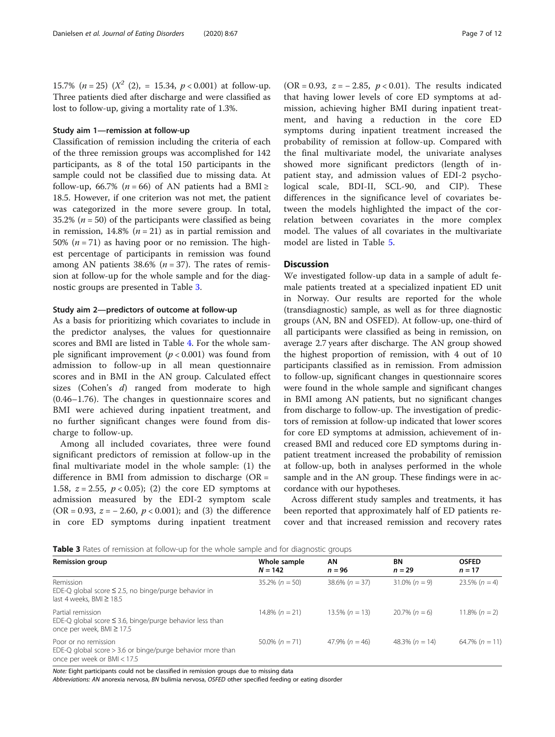15.7% ( $n = 25$ ) ( $X^2$  (2), = 15.34,  $p < 0.001$ ) at follow-up. Three patients died after discharge and were classified as lost to follow-up, giving a mortality rate of 1.3%.

## Study aim 1—remission at follow-up

Classification of remission including the criteria of each of the three remission groups was accomplished for 142 participants, as 8 of the total 150 participants in the sample could not be classified due to missing data. At follow-up, 66.7% ( $n = 66$ ) of AN patients had a BMI ≥ 18.5. However, if one criterion was not met, the patient was categorized in the more severe group. In total, 35.2% ( $n = 50$ ) of the participants were classified as being in remission, 14.8% ( $n = 21$ ) as in partial remission and 50%  $(n = 71)$  as having poor or no remission. The highest percentage of participants in remission was found among AN patients  $38.6\%$  ( $n = 37$ ). The rates of remission at follow-up for the whole sample and for the diagnostic groups are presented in Table 3.

## Study aim 2—predictors of outcome at follow-up

As a basis for prioritizing which covariates to include in the predictor analyses, the values for questionnaire scores and BMI are listed in Table [4.](#page-7-0) For the whole sample significant improvement ( $p < 0.001$ ) was found from admission to follow-up in all mean questionnaire scores and in BMI in the AN group. Calculated effect sizes (Cohen's d) ranged from moderate to high (0.46–1.76). The changes in questionnaire scores and BMI were achieved during inpatient treatment, and no further significant changes were found from discharge to follow-up.

Among all included covariates, three were found significant predictors of remission at follow-up in the final multivariate model in the whole sample: (1) the difference in BMI from admission to discharge ( $OR =$ 1.58,  $z = 2.55$ ,  $p < 0.05$ ; (2) the core ED symptoms at admission measured by the EDI-2 symptom scale (OR = 0.93,  $z = -2.60$ ,  $p < 0.001$ ); and (3) the difference in core ED symptoms during inpatient treatment

(OR = 0.93,  $z = -2.85$ ,  $p < 0.01$ ). The results indicated that having lower levels of core ED symptoms at admission, achieving higher BMI during inpatient treatment, and having a reduction in the core ED symptoms during inpatient treatment increased the probability of remission at follow-up. Compared with the final multivariate model, the univariate analyses showed more significant predictors (length of inpatient stay, and admission values of EDI-2 psychological scale, BDI-II, SCL-90, and CIP). These differences in the significance level of covariates between the models highlighted the impact of the correlation between covariates in the more complex model. The values of all covariates in the multivariate model are listed in Table [5.](#page-7-0)

## **Discussion**

We investigated follow-up data in a sample of adult female patients treated at a specialized inpatient ED unit in Norway. Our results are reported for the whole (transdiagnostic) sample, as well as for three diagnostic groups (AN, BN and OSFED). At follow-up, one-third of all participants were classified as being in remission, on average 2.7 years after discharge. The AN group showed the highest proportion of remission, with 4 out of 10 participants classified as in remission. From admission to follow-up, significant changes in questionnaire scores were found in the whole sample and significant changes in BMI among AN patients, but no significant changes from discharge to follow-up. The investigation of predictors of remission at follow-up indicated that lower scores for core ED symptoms at admission, achievement of increased BMI and reduced core ED symptoms during inpatient treatment increased the probability of remission at follow-up, both in analyses performed in the whole sample and in the AN group. These findings were in accordance with our hypotheses.

Across different study samples and treatments, it has been reported that approximately half of ED patients recover and that increased remission and recovery rates

Table 3 Rates of remission at follow-up for the whole sample and for diagnostic groups

| <b>TWATE S</b> Hates of Termssion at follow ap for the Whole sample and for diagnostic groups                        |                           |                   |                    |                          |  |  |
|----------------------------------------------------------------------------------------------------------------------|---------------------------|-------------------|--------------------|--------------------------|--|--|
| <b>Remission group</b>                                                                                               | Whole sample<br>$N = 142$ | AN<br>$n = 96$    | BN<br>$n = 29$     | <b>OSFED</b><br>$n = 17$ |  |  |
| Remission<br>EDE-Q global score $\leq$ 2.5, no binge/purge behavior in<br>last 4 weeks, BMI $\geq$ 18.5              | $35.2\% (n = 50)$         | $38.6\% (n = 37)$ | $31.0\% (n = 9)$   | $23.5\% (n = 4)$         |  |  |
| Partial remission<br>EDE-Q global score $\leq$ 3.6, binge/purge behavior less than<br>once per week, $BMI \geq 17.5$ | $14.8\% (n = 21)$         | $13.5\% (n = 13)$ | $20.7\% (n = 6)$   | $11.8\% (n = 2)$         |  |  |
| Poor or no remission<br>EDE-Q global score $> 3.6$ or binge/purge behavior more than<br>once per week or BMI < 17.5  | $50.0\% (n = 71)$         | 47.9% $(n = 46)$  | 48.3% ( $n = 14$ ) | 64.7% $(n = 11)$         |  |  |

Note: Eight participants could not be classified in remission groups due to missing data

Abbreviations: AN anorexia nervosa, BN bulimia nervosa, OSFED other specified feeding or eating disorder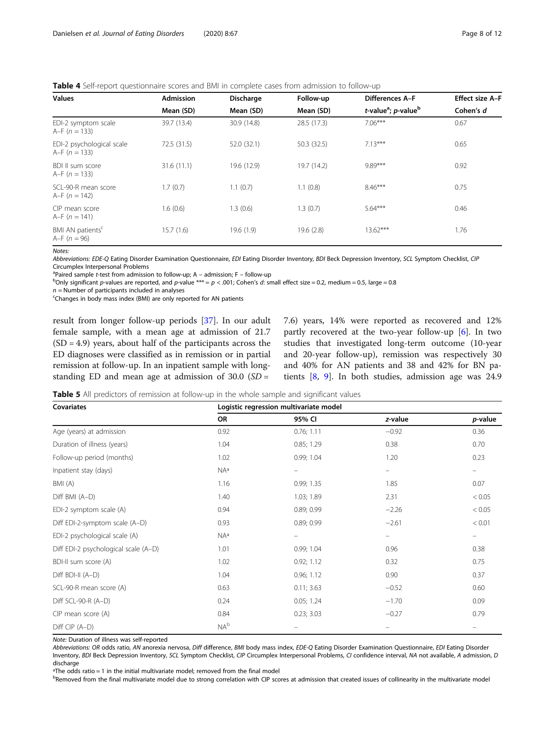<span id="page-7-0"></span>Table 4 Self-report questionnaire scores and BMI in complete cases from admission to follow-up

| <b>Values</b>                                  | <b>Admission</b> | <b>Discharge</b> | Follow-up   | Differences A-F                                     | <b>Effect size A-F</b> |
|------------------------------------------------|------------------|------------------|-------------|-----------------------------------------------------|------------------------|
|                                                | Mean (SD)        | Mean (SD)        | Mean (SD)   | t-value <sup>a</sup> ; <i>p</i> -value <sup>b</sup> | Cohen's d              |
| EDI-2 symptom scale<br>A–F $(n = 133)$         | 39.7 (13.4)      | 30.9 (14.8)      | 28.5 (17.3) | $7.06***$                                           | 0.67                   |
| EDI-2 psychological scale<br>A–F $(n = 133)$   | 72.5 (31.5)      | 52.0 (32.1)      | 50.3 (32.5) | $7.13***$                                           | 0.65                   |
| BDI II sum score<br>A–F $(n = 133)$            | 31.6(11.1)       | 19.6 (12.9)      | 19.7 (14.2) | 9.89***                                             | 0.92                   |
| SCL-90-R mean score<br>A–F $(n = 142)$         | 1.7(0.7)         | 1.1(0.7)         | 1.1(0.8)    | $8.46***$                                           | 0.75                   |
| CIP mean score<br>A–F $(n = 141)$              | 1.6(0.6)         | 1.3(0.6)         | 1.3(0.7)    | $5.64***$                                           | 0.46                   |
| BMI AN patients <sup>c</sup><br>$A-F (n = 96)$ | 15.7(1.6)        | 19.6 (1.9)       | 19.6 (2.8)  | $13.62***$                                          | 1.76                   |

Notes:

Abbreviations: EDE-Q Eating Disorder Examination Questionnaire, EDI Eating Disorder Inventory, BDI Beck Depression Inventory, SCL Symptom Checklist, CIP Circumplex Interpersonal Problems

<sup>a</sup> Paired sample t-test from admission to follow-up; A – admission; F – follow-up<br><sup>b</sup>Oply significant payaluge are reported, and payalug \*\*\* – n < 001; Coben's d; st

<sup>b</sup>Only significant p-values are reported, and p-value \*\*\* = p < .001; Cohen's d: small effect size = 0.2, medium = 0.5, large = 0.8

n = Number of participants included in analyses<br><sup>c</sup>Changes in body mass index (BMI) are only reported for AN patients

result from longer follow-up periods [\[37\]](#page-11-0). In our adult female sample, with a mean age at admission of 21.7  $(SD = 4.9)$  years, about half of the participants across the ED diagnoses were classified as in remission or in partial remission at follow-up. In an inpatient sample with longstanding ED and mean age at admission of  $30.0$  (SD =

7.6) years, 14% were reported as recovered and 12% partly recovered at the two-year follow-up [[6\]](#page-10-0). In two studies that investigated long-term outcome (10-year and 20-year follow-up), remission was respectively 30 and 40% for AN patients and 38 and 42% for BN patients [[8](#page-10-0), [9\]](#page-10-0). In both studies, admission age was 24.9

**Table 5** All predictors of remission at follow-up in the whole sample and significant values

| <b>Covariates</b>                    | Logistic regression multivariate model |                   |         |         |  |  |  |
|--------------------------------------|----------------------------------------|-------------------|---------|---------|--|--|--|
|                                      | OR                                     | 95% CI            | z-value | p-value |  |  |  |
| Age (years) at admission             | 0.92                                   | 0.76; 1.11        | $-0.92$ | 0.36    |  |  |  |
| Duration of illness (years)          | 1.04                                   | 0.85; 1.29        | 0.38    | 0.70    |  |  |  |
| Follow-up period (months)            | 1.02                                   | 0.99; 1.04        | 1.20    | 0.23    |  |  |  |
| Inpatient stay (days)                | NA <sup>a</sup>                        | $\qquad \qquad -$ | -       | -       |  |  |  |
| BMI(A)                               | 1.16                                   | 0.99; 1.35        | 1.85    | 0.07    |  |  |  |
| Diff BMI (A-D)                       | 1.40                                   | 1.03; 1.89        | 2.31    | < 0.05  |  |  |  |
| EDI-2 symptom scale (A)              | 0.94                                   | 0.89; 0.99        | $-2.26$ | < 0.05  |  |  |  |
| Diff EDI-2-symptom scale (A-D)       | 0.93                                   | 0.89; 0.99        | $-2.61$ | < 0.01  |  |  |  |
| EDI-2 psychological scale (A)        | NAa                                    |                   | -       | -       |  |  |  |
| Diff EDI-2 psychological scale (A-D) | 1.01                                   | 0.99; 1.04        | 0.96    | 0.38    |  |  |  |
| BDI-II sum score (A)                 | 1.02                                   | 0.92; 1.12        | 0.32    | 0.75    |  |  |  |
| Diff BDI-II (A-D)                    | 1.04                                   | 0.96; 1.12        | 0.90    | 0.37    |  |  |  |
| SCL-90-R mean score (A)              | 0.63                                   | 0.11; 3.63        | $-0.52$ | 0.60    |  |  |  |
| Diff SCL-90-R (A-D)                  | 0.24                                   | 0.05; 1.24        | $-1.70$ | 0.09    |  |  |  |
| CIP mean score (A)                   | 0.84                                   | 0.23; 3.03        | $-0.27$ | 0.79    |  |  |  |
| Diff CIP (A-D)                       | $NA^b$                                 |                   |         |         |  |  |  |

Note: Duration of illness was self-reported

Abbreviations: OR odds ratio, AN anorexia nervosa, Diff difference, BMI body mass index, EDE-Q Eating Disorder Examination Questionnaire, EDI Eating Disorder Inventory, BDI Beck Depression Inventory, SCL Symptom Checklist, CIP Circumplex Interpersonal Problems, CI confidence interval, NA not available, A admission, D discharge

ªThe odds ratio = 1 in the initial multivariate model; removed from the final model

bRemoved from the final multivariate model due to strong correlation with CIP scores at admission that created issues of collinearity in the multivariate model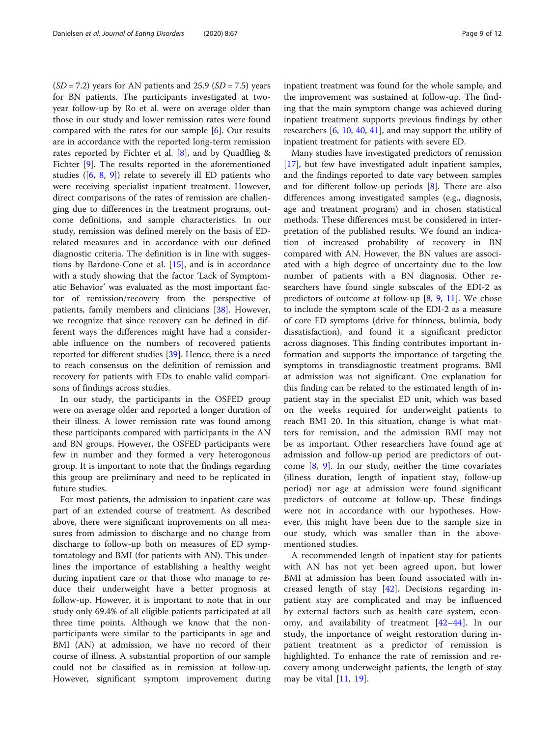$(SD = 7.2)$  years for AN patients and 25.9  $(SD = 7.5)$  years for BN patients. The participants investigated at twoyear follow-up by Ro et al. were on average older than those in our study and lower remission rates were found compared with the rates for our sample [[6\]](#page-10-0). Our results are in accordance with the reported long-term remission rates reported by Fichter et al. [[8\]](#page-10-0), and by Quadflieg & Fichter [[9\]](#page-10-0). The results reported in the aforementioned studies ( $[6, 8, 9]$  $[6, 8, 9]$  $[6, 8, 9]$  $[6, 8, 9]$  $[6, 8, 9]$ ) relate to severely ill ED patients who were receiving specialist inpatient treatment. However, direct comparisons of the rates of remission are challenging due to differences in the treatment programs, outcome definitions, and sample characteristics. In our study, remission was defined merely on the basis of EDrelated measures and in accordance with our defined diagnostic criteria. The definition is in line with suggestions by Bardone-Cone et al. [[15\]](#page-10-0), and is in accordance with a study showing that the factor 'Lack of Symptomatic Behavior' was evaluated as the most important factor of remission/recovery from the perspective of patients, family members and clinicians [\[38](#page-11-0)]. However, we recognize that since recovery can be defined in different ways the differences might have had a considerable influence on the numbers of recovered patients reported for different studies [\[39\]](#page-11-0). Hence, there is a need to reach consensus on the definition of remission and recovery for patients with EDs to enable valid comparisons of findings across studies.

In our study, the participants in the OSFED group were on average older and reported a longer duration of their illness. A lower remission rate was found among these participants compared with participants in the AN and BN groups. However, the OSFED participants were few in number and they formed a very heterogonous group. It is important to note that the findings regarding this group are preliminary and need to be replicated in future studies.

For most patients, the admission to inpatient care was part of an extended course of treatment. As described above, there were significant improvements on all measures from admission to discharge and no change from discharge to follow-up both on measures of ED symptomatology and BMI (for patients with AN). This underlines the importance of establishing a healthy weight during inpatient care or that those who manage to reduce their underweight have a better prognosis at follow-up. However, it is important to note that in our study only 69.4% of all eligible patients participated at all three time points. Although we know that the nonparticipants were similar to the participants in age and BMI (AN) at admission, we have no record of their course of illness. A substantial proportion of our sample could not be classified as in remission at follow-up. However, significant symptom improvement during inpatient treatment was found for the whole sample, and the improvement was sustained at follow-up. The finding that the main symptom change was achieved during inpatient treatment supports previous findings by other researchers [[6,](#page-10-0) [10,](#page-10-0) [40,](#page-11-0) [41\]](#page-11-0), and may support the utility of inpatient treatment for patients with severe ED.

Many studies have investigated predictors of remission [[17\]](#page-10-0), but few have investigated adult inpatient samples, and the findings reported to date vary between samples and for different follow-up periods [[8\]](#page-10-0). There are also differences among investigated samples (e.g., diagnosis, age and treatment program) and in chosen statistical methods. These differences must be considered in interpretation of the published results. We found an indication of increased probability of recovery in BN compared with AN. However, the BN values are associated with a high degree of uncertainty due to the low number of patients with a BN diagnosis. Other researchers have found single subscales of the EDI-2 as predictors of outcome at follow-up  $[8, 9, 11]$  $[8, 9, 11]$  $[8, 9, 11]$  $[8, 9, 11]$  $[8, 9, 11]$  $[8, 9, 11]$ . We chose to include the symptom scale of the EDI-2 as a measure of core ED symptoms (drive for thinness, bulimia, body dissatisfaction), and found it a significant predictor across diagnoses. This finding contributes important information and supports the importance of targeting the symptoms in transdiagnostic treatment programs. BMI at admission was not significant. One explanation for this finding can be related to the estimated length of inpatient stay in the specialist ED unit, which was based on the weeks required for underweight patients to reach BMI 20. In this situation, change is what matters for remission, and the admission BMI may not be as important. Other researchers have found age at admission and follow-up period are predictors of outcome  $[8, 9]$  $[8, 9]$  $[8, 9]$  $[8, 9]$ . In our study, neither the time covariates (illness duration, length of inpatient stay, follow-up period) nor age at admission were found significant predictors of outcome at follow-up. These findings were not in accordance with our hypotheses. However, this might have been due to the sample size in our study, which was smaller than in the abovementioned studies.

A recommended length of inpatient stay for patients with AN has not yet been agreed upon, but lower BMI at admission has been found associated with increased length of stay [[42\]](#page-11-0). Decisions regarding inpatient stay are complicated and may be influenced by external factors such as health care system, economy, and availability of treatment [\[42](#page-11-0)–[44](#page-11-0)]. In our study, the importance of weight restoration during inpatient treatment as a predictor of remission is highlighted. To enhance the rate of remission and recovery among underweight patients, the length of stay may be vital [\[11](#page-10-0), [19](#page-10-0)].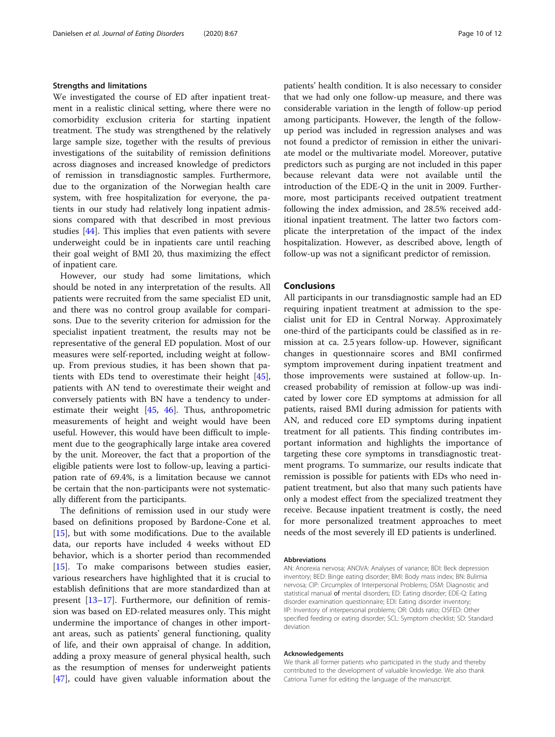#### Strengths and limitations

We investigated the course of ED after inpatient treatment in a realistic clinical setting, where there were no comorbidity exclusion criteria for starting inpatient treatment. The study was strengthened by the relatively large sample size, together with the results of previous investigations of the suitability of remission definitions across diagnoses and increased knowledge of predictors of remission in transdiagnostic samples. Furthermore, due to the organization of the Norwegian health care system, with free hospitalization for everyone, the patients in our study had relatively long inpatient admissions compared with that described in most previous studies [[44\]](#page-11-0). This implies that even patients with severe underweight could be in inpatients care until reaching their goal weight of BMI 20, thus maximizing the effect of inpatient care.

However, our study had some limitations, which should be noted in any interpretation of the results. All patients were recruited from the same specialist ED unit, and there was no control group available for comparisons. Due to the severity criterion for admission for the specialist inpatient treatment, the results may not be representative of the general ED population. Most of our measures were self-reported, including weight at followup. From previous studies, it has been shown that patients with EDs tend to overestimate their height [\[45](#page-11-0)], patients with AN tend to overestimate their weight and conversely patients with BN have a tendency to underestimate their weight [\[45](#page-11-0), [46](#page-11-0)]. Thus, anthropometric measurements of height and weight would have been useful. However, this would have been difficult to implement due to the geographically large intake area covered by the unit. Moreover, the fact that a proportion of the eligible patients were lost to follow-up, leaving a participation rate of 69.4%, is a limitation because we cannot be certain that the non-participants were not systematically different from the participants.

The definitions of remission used in our study were based on definitions proposed by Bardone-Cone et al. [[15\]](#page-10-0), but with some modifications. Due to the available data, our reports have included 4 weeks without ED behavior, which is a shorter period than recommended [[15\]](#page-10-0). To make comparisons between studies easier, various researchers have highlighted that it is crucial to establish definitions that are more standardized than at present [[13](#page-10-0)–[17](#page-10-0)]. Furthermore, our definition of remission was based on ED-related measures only. This might undermine the importance of changes in other important areas, such as patients' general functioning, quality of life, and their own appraisal of change. In addition, adding a proxy measure of general physical health, such as the resumption of menses for underweight patients [[47\]](#page-11-0), could have given valuable information about the patients' health condition. It is also necessary to consider that we had only one follow-up measure, and there was considerable variation in the length of follow-up period among participants. However, the length of the followup period was included in regression analyses and was not found a predictor of remission in either the univariate model or the multivariate model. Moreover, putative predictors such as purging are not included in this paper because relevant data were not available until the introduction of the EDE-Q in the unit in 2009. Furthermore, most participants received outpatient treatment following the index admission, and 28.5% received additional inpatient treatment. The latter two factors complicate the interpretation of the impact of the index hospitalization. However, as described above, length of follow-up was not a significant predictor of remission.

## Conclusions

All participants in our transdiagnostic sample had an ED requiring inpatient treatment at admission to the specialist unit for ED in Central Norway. Approximately one-third of the participants could be classified as in remission at ca. 2.5 years follow-up. However, significant changes in questionnaire scores and BMI confirmed symptom improvement during inpatient treatment and those improvements were sustained at follow-up. Increased probability of remission at follow-up was indicated by lower core ED symptoms at admission for all patients, raised BMI during admission for patients with AN, and reduced core ED symptoms during inpatient treatment for all patients. This finding contributes important information and highlights the importance of targeting these core symptoms in transdiagnostic treatment programs. To summarize, our results indicate that remission is possible for patients with EDs who need inpatient treatment, but also that many such patients have only a modest effect from the specialized treatment they receive. Because inpatient treatment is costly, the need for more personalized treatment approaches to meet needs of the most severely ill ED patients is underlined.

#### Abbreviations

AN: Anorexia nervosa; ANOVA: Analyses of variance; BDI: Beck depression inventory; BED: Binge eating disorder; BMI: Body mass index; BN: Bulimia nervosa; CIP: Circumplex of Interpersonal Problems; DSM: Diagnostic and statistical manual of mental disorders; ED: Eating disorder; EDE-Q: Eating disorder examination questionnaire; EDI: Eating disorder inventory; IIP: Inventory of interpersonal problems; OR: Odds ratio; OSFED: Other specified feeding or eating disorder; SCL: Symptom checklist; SD: Standard deviation

#### Acknowledgements

We thank all former patients who participated in the study and thereby contributed to the development of valuable knowledge. We also thank Catriona Turner for editing the language of the manuscript.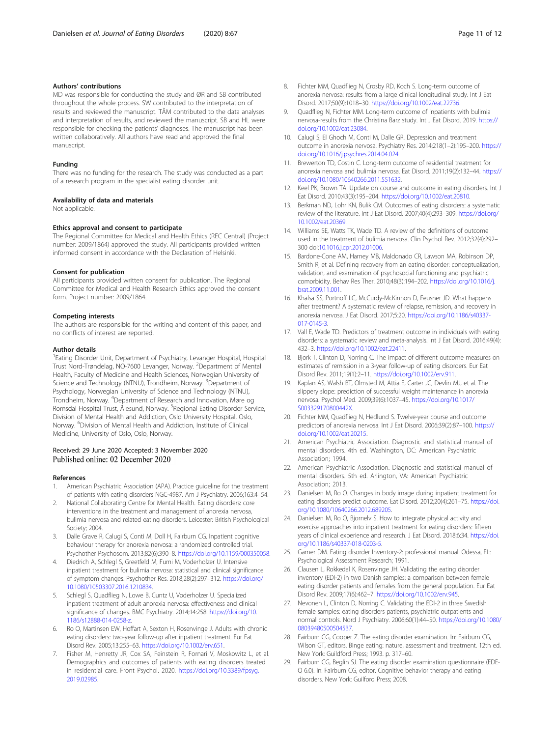## <span id="page-10-0"></span>Authors' contributions

MD was responsible for conducting the study and ØR and SB contributed throughout the whole process. SW contributed to the interpretation of results and reviewed the manuscript. TÅM contributed to the data analyses and interpretation of results, and reviewed the manuscript. SB and HL were responsible for checking the patients' diagnoses. The manuscript has been written collaboratively. All authors have read and approved the final manuscript.

#### Funding

There was no funding for the research. The study was conducted as a part of a research program in the specialist eating disorder unit.

#### Availability of data and materials

Not applicable.

#### Ethics approval and consent to participate

The Regional Committee for Medical and Health Ethics (REC Central) (Project number: 2009/1864) approved the study. All participants provided written informed consent in accordance with the Declaration of Helsinki.

#### Consent for publication

All participants provided written consent for publication. The Regional Committee for Medical and Health Research Ethics approved the consent form. Project number: 2009/1864.

#### Competing interests

The authors are responsible for the writing and content of this paper, and no conflicts of interest are reported.

#### Author details

<sup>1</sup> Eating Disorder Unit, Department of Psychiatry, Levanger Hospital, Hospital Trust Nord-Trøndelag, NO-7600 Levanger, Norway. <sup>2</sup>Department of Mental Health, Faculty of Medicine and Health Sciences, Norwegian University of Science and Technology (NTNU), Trondheim, Norway. <sup>3</sup>Department of Psychology, Norwegian University of Science and Technology (NTNU), Trondheim, Norway. <sup>4</sup> Department of Research and Innovation, Møre og Romsdal Hospital Trust, Ålesund, Norway. <sup>5</sup>Regional Eating Disorder Service, Division of Mental Health and Addiction, Oslo University Hospital, Oslo, Norway. <sup>6</sup>Division of Mental Health and Addiction, Institute of Clinical Medicine, University of Oslo, Oslo, Norway.

#### Received: 29 June 2020 Accepted: 3 November 2020 Published online: 02 December 2020

#### References

- American Psychiatric Association (APA). Practice guideline for the treatment of patients with eating disorders NGC-4987. Am J Psychiatry. 2006;163:4–54.
- 2. National Collaborating Centre for Mental Health. Eating disorders: core interventions in the treatment and management of anorexia nervosa, bulimia nervosa and related eating disorders. Leicester: British Psychological Society; 2004.
- 3. Dalle Grave R, Calugi S, Conti M, Doll H, Fairburn CG. Inpatient cognitive behaviour therapy for anorexia nervosa: a randomized controlled trial. Psychother Psychosom. 2013;82(6):390–8. <https://doi.org/10.1159/000350058>.
- 4. Diedrich A, Schlegl S, Greetfeld M, Fumi M, Voderholzer U. Intensive inpatient treatment for bulimia nervosa: statistical and clinical significance of symptom changes. Psychother Res. 2018;28(2):297–312. [https://doi.org/](https://doi.org/10.1080/10503307.2016.1210834) [10.1080/10503307.2016.1210834.](https://doi.org/10.1080/10503307.2016.1210834)
- 5. Schlegl S, Quadflieg N, Lowe B, Cuntz U, Voderholzer U. Specialized inpatient treatment of adult anorexia nervosa: effectiveness and clinical significance of changes. BMC Psychiatry. 2014;14:258. [https://doi.org/10.](https://doi.org/10.1186/s12888-014-0258-z) [1186/s12888-014-0258-z](https://doi.org/10.1186/s12888-014-0258-z).
- 6. Ro O, Martinsen EW, Hoffart A, Sexton H, Rosenvinge J. Adults with chronic eating disorders: two-year follow-up after inpatient treatment. Eur Eat Disord Rev. 2005;13:255–63. [https://doi.org/10.1002/erv.651.](https://doi.org/10.1002/erv.651)
- Fisher M, Henretty JR, Cox SA, Feinstein R, Fornari V, Moskowitz L, et al. Demographics and outcomes of patients with eating disorders treated in residential care. Front Psychol. 2020. [https://doi.org/10.3389/fpsyg.](https://doi.org/10.3389/fpsyg.2019.02985) [2019.02985](https://doi.org/10.3389/fpsyg.2019.02985).
- 8. Fichter MM, Quadflieg N, Crosby RD, Koch S. Long-term outcome of anorexia nervosa: results from a large clinical longitudinal study. Int J Eat Disord. 2017;50(9):1018–30. <https://doi.org/10.1002/eat.22736>.
- Quadflieg N, Fichter MM. Long-term outcome of inpatients with bulimia nervosa-results from the Christina Barz study. Int J Eat Disord. 2019. [https://](https://doi.org/10.1002/eat.23084) [doi.org/10.1002/eat.23084](https://doi.org/10.1002/eat.23084).
- 10. Calugi S, El Ghoch M, Conti M, Dalle GR. Depression and treatment outcome in anorexia nervosa. Psychiatry Res. 2014;218(1–2):195–200. [https://](https://doi.org/10.1016/j.psychres.2014.04.024) [doi.org/10.1016/j.psychres.2014.04.024.](https://doi.org/10.1016/j.psychres.2014.04.024)
- 11. Brewerton TD, Costin C. Long-term outcome of residential treatment for anorexia nervosa and bulimia nervosa. Eat Disord. 2011;19(2):132–44. [https://](https://doi.org/10.1080/10640266.2011.551632) [doi.org/10.1080/10640266.2011.551632](https://doi.org/10.1080/10640266.2011.551632).
- 12. Keel PK, Brown TA. Update on course and outcome in eating disorders. Int J Eat Disord. 2010;43(3):195–204. [https://doi.org/10.1002/eat.20810.](https://doi.org/10.1002/eat.20810)
- 13. Berkman ND, Lohr KN, Bulik CM. Outcomes of eating disorders: a systematic review of the literature. Int J Eat Disord. 2007;40(4):293–309. [https://doi.org/](https://doi.org/10.1002/eat.20369) [10.1002/eat.20369.](https://doi.org/10.1002/eat.20369)
- 14. Williams SE, Watts TK, Wade TD. A review of the definitions of outcome used in the treatment of bulimia nervosa. Clin Psychol Rev. 2012;32(4):292– 300 doi[:10.1016.j.cpr.2012.01006](https://doi.org/10.1016.j.cpr.2012.01006).
- 15. Bardone-Cone AM, Harney MB, Maldonado CR, Lawson MA, Robinson DP, Smith R, et al. Defining recovery from an eating disorder: conceptualization, validation, and examination of psychosocial functioning and psychiatric comorbidity. Behav Res Ther. 2010;48(3):194–202. [https://doi.org/10.1016/j.](https://doi.org/10.1016/j.brat.2009.11.001) [brat.2009.11.001](https://doi.org/10.1016/j.brat.2009.11.001).
- 16. Khalsa SS, Portnoff LC, McCurdy-McKinnon D, Feusner JD. What happens after treatment? A systematic review of relapse, remission, and recovery in anorexia nervosa. J Eat Disord. 2017;5:20. [https://doi.org/10.1186/s40337-](https://doi.org/10.1186/s40337-017-0145-3) [017-0145-3](https://doi.org/10.1186/s40337-017-0145-3).
- 17. Vall E, Wade TD. Predictors of treatment outcome in individuals with eating disorders: a systematic review and meta-analysis. Int J Eat Disord. 2016;49(4): 432–3. <https://doi.org/10.1002/eat.22411>.
- 18. Bjork T, Clinton D, Norring C. The impact of different outcome measures on estimates of remission in a 3-year follow-up of eating disorders. Eur Eat Disord Rev. 2011;19(1):2–11. <https://doi.org/10.1002/erv.911>.
- 19. Kaplan AS, Walsh BT, Olmsted M, Attia E, Carter JC, Devlin MJ, et al. The slippery slope: prediction of successful weight maintenance in anorexia nervosa. Psychol Med. 2009;39(6):1037–45. [https://doi.org/10.1017/](https://doi.org/10.1017/S003329170800442X) [S003329170800442X](https://doi.org/10.1017/S003329170800442X).
- 20. Fichter MM, Quadflieg N, Hedlund S. Twelve-year course and outcome predictors of anorexia nervosa. Int J Eat Disord. 2006;39(2):87–100. [https://](https://doi.org/10.1002/eat.20215) [doi.org/10.1002/eat.20215](https://doi.org/10.1002/eat.20215).
- 21. American Psychiatric Association. Diagnostic and statistical manual of mental disorders. 4th ed. Washington, DC: American Psychiatric Association; 1994.
- 22. American Psychiatric Association. Diagnostic and statistical manual of mental disorders. 5th ed. Arlington, VA: American Psychiatric Association; 2013.
- 23. Danielsen M, Ro O. Changes in body image during inpatient treatment for eating disorders predict outcome. Eat Disord. 2012;20(4):261–75. [https://doi.](https://doi.org/10.1080/10640266.2012.689205) [org/10.1080/10640266.2012.689205.](https://doi.org/10.1080/10640266.2012.689205)
- 24. Danielsen M, Ro O, Bjornelv S. How to integrate physical activity and exercise approaches into inpatient treatment for eating disorders: fifteen years of clinical experience and research. J Eat Disord. 2018;6:34. [https://doi.](https://doi.org/10.1186/s40337-018-0203-5) [org/10.1186/s40337-018-0203-5](https://doi.org/10.1186/s40337-018-0203-5).
- 25. Garner DM. Eating disorder Inventory-2: professional manual. Odessa, FL: Psychological Assessment Research; 1991.
- 26. Clausen L, Rokkedal K, Rosenvinge JH. Validating the eating disorder inventory (EDI-2) in two Danish samples: a comparison between female eating disorder patients and females from the general population. Eur Eat Disord Rev. 2009;17(6):462–7. [https://doi.org/10.1002/erv.945.](https://doi.org/10.1002/erv.945)
- 27. Nevonen L, Clinton D, Norring C. Validating the EDI-2 in three Swedish female samples: eating disorders patients, psychiatric outpatients and normal controls. Nord J Psychiatry. 2006;60(1):44–50. [https://doi.org/10.1080/](https://doi.org/10.1080/08039480500504537) [08039480500504537.](https://doi.org/10.1080/08039480500504537)
- 28. Fairburn CG, Cooper Z. The eating disorder examination. In: Fairburn CG, Wilson GT, editors. Binge eating: nature, assessment and treatment. 12th ed. New York: Guildford Press; 1993. p. 317–60.
- 29. Fairburn CG, Beglin SJ. The eating disorder examination questionnaire (EDE-Q 6.0). In: Fairburn CG, editor. Cognitive behavior therapy and eating disorders. New York: Guilford Press; 2008.